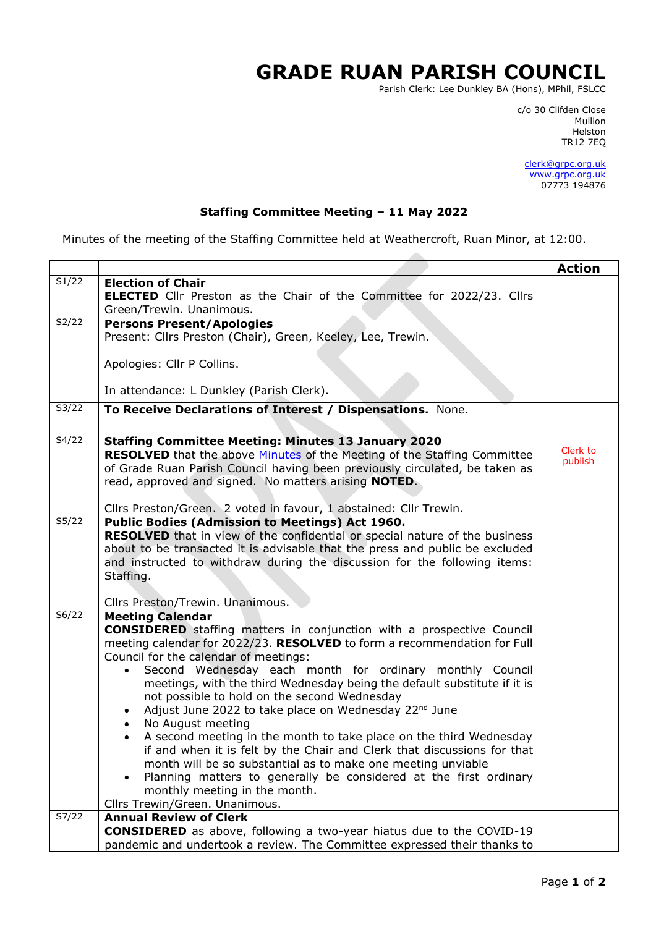## **GRADE RUAN PARISH COUNCIL**

 $\sim$ 

Parish Clerk: Lee Dunkley BA (Hons), MPhil, FSLCC

c/o 30 Clifden Close man and the control of the control of the control of the control of the control of the control of the control o Helston TR12 7EQ

> [clerk@grpc.org.uk](mailto:clerk@grpc.org.uk) [www.grpc.org.uk](http://www.grpc.org.uk/) 07773 194876

## **Staffing Committee Meeting – 11 May 2022**

Minutes of the meeting of the Staffing Committee held at Weathercroft, Ruan Minor, at 12:00.

|       |                                                                                                                                                                                                                                                                                                                                                                                                                                                                                                                                                                                                                                                                                                                                                                                                                                                                                                                             | <b>Action</b>       |  |  |  |  |  |  |  |
|-------|-----------------------------------------------------------------------------------------------------------------------------------------------------------------------------------------------------------------------------------------------------------------------------------------------------------------------------------------------------------------------------------------------------------------------------------------------------------------------------------------------------------------------------------------------------------------------------------------------------------------------------------------------------------------------------------------------------------------------------------------------------------------------------------------------------------------------------------------------------------------------------------------------------------------------------|---------------------|--|--|--|--|--|--|--|
| S1/22 | <b>Election of Chair</b><br><b>ELECTED</b> Cllr Preston as the Chair of the Committee for 2022/23. Cllrs<br>Green/Trewin. Unanimous.                                                                                                                                                                                                                                                                                                                                                                                                                                                                                                                                                                                                                                                                                                                                                                                        |                     |  |  |  |  |  |  |  |
| S2/22 | <b>Persons Present/Apologies</b><br>Present: Cllrs Preston (Chair), Green, Keeley, Lee, Trewin.                                                                                                                                                                                                                                                                                                                                                                                                                                                                                                                                                                                                                                                                                                                                                                                                                             |                     |  |  |  |  |  |  |  |
|       | Apologies: Cllr P Collins.                                                                                                                                                                                                                                                                                                                                                                                                                                                                                                                                                                                                                                                                                                                                                                                                                                                                                                  |                     |  |  |  |  |  |  |  |
|       | In attendance: L Dunkley (Parish Clerk).                                                                                                                                                                                                                                                                                                                                                                                                                                                                                                                                                                                                                                                                                                                                                                                                                                                                                    |                     |  |  |  |  |  |  |  |
| S3/22 | To Receive Declarations of Interest / Dispensations. None.                                                                                                                                                                                                                                                                                                                                                                                                                                                                                                                                                                                                                                                                                                                                                                                                                                                                  |                     |  |  |  |  |  |  |  |
| S4/22 | <b>Staffing Committee Meeting: Minutes 13 January 2020</b><br><b>RESOLVED</b> that the above Minutes of the Meeting of the Staffing Committee<br>of Grade Ruan Parish Council having been previously circulated, be taken as<br>read, approved and signed. No matters arising NOTED.                                                                                                                                                                                                                                                                                                                                                                                                                                                                                                                                                                                                                                        | Clerk to<br>publish |  |  |  |  |  |  |  |
|       | Cllrs Preston/Green. 2 voted in favour, 1 abstained: Cllr Trewin.                                                                                                                                                                                                                                                                                                                                                                                                                                                                                                                                                                                                                                                                                                                                                                                                                                                           |                     |  |  |  |  |  |  |  |
| S5/22 | Public Bodies (Admission to Meetings) Act 1960.<br><b>RESOLVED</b> that in view of the confidential or special nature of the business<br>about to be transacted it is advisable that the press and public be excluded<br>and instructed to withdraw during the discussion for the following items:<br>Staffing.                                                                                                                                                                                                                                                                                                                                                                                                                                                                                                                                                                                                             |                     |  |  |  |  |  |  |  |
|       | Cllrs Preston/Trewin. Unanimous.                                                                                                                                                                                                                                                                                                                                                                                                                                                                                                                                                                                                                                                                                                                                                                                                                                                                                            |                     |  |  |  |  |  |  |  |
| S6/22 | <b>Meeting Calendar</b><br><b>CONSIDERED</b> staffing matters in conjunction with a prospective Council<br>meeting calendar for 2022/23. RESOLVED to form a recommendation for Full<br>Council for the calendar of meetings:<br>Second Wednesday each month for ordinary monthly Council<br>$\bullet$<br>meetings, with the third Wednesday being the default substitute if it is<br>not possible to hold on the second Wednesday<br>Adjust June 2022 to take place on Wednesday 22 <sup>nd</sup> June<br>$\bullet$<br>No August meeting<br>$\bullet$<br>A second meeting in the month to take place on the third Wednesday<br>if and when it is felt by the Chair and Clerk that discussions for that<br>month will be so substantial as to make one meeting unviable<br>Planning matters to generally be considered at the first ordinary<br>$\bullet$<br>monthly meeting in the month.<br>Cllrs Trewin/Green. Unanimous. |                     |  |  |  |  |  |  |  |
| S7/22 | <b>Annual Review of Clerk</b><br><b>CONSIDERED</b> as above, following a two-year hiatus due to the COVID-19<br>pandemic and undertook a review. The Committee expressed their thanks to                                                                                                                                                                                                                                                                                                                                                                                                                                                                                                                                                                                                                                                                                                                                    |                     |  |  |  |  |  |  |  |